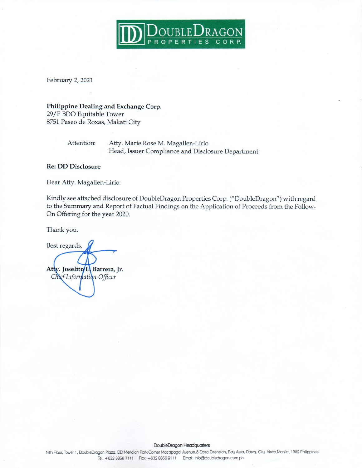

February 2, 2021

Philippine Dealing and Exchange Corp. 29/F BDO Equitable Tower 8751 Paseo de Roxas, Makati City

Attention:

Atty. Marie Rose M. Magallen-Lirio Head, Issuer Compliance and Disclosure Department

## **Re: DD Disclosure**

Dear Atty. Magallen-Lirio:

Kindly see attached disclosure of DoubleDragon Properties Corp. ("DoubleDragon") with regard to the Summary and Report of Factual Findings on the Application of Proceeds from the Follow-On Offering for the year 2020.

Thank you.

Best regards, Atty. Joselito L. Barrera, Jr. Chief Information Officer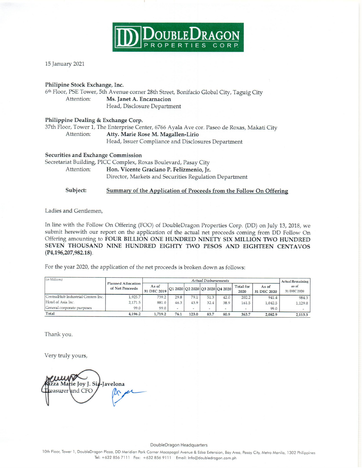

15 January 2021

## Philipine Stock Exchange, Inc.

6th Floor, PSE Tower, 5th Avenue corner 28th Street, Bonifacio Global City, Taguig City Attention: Ms. Janet A. Encarnacion Head, Disclosure Department

## Philippine Dealing & Exchange Corp.

37th Floor, Tower 1, The Enterprise Center, 6766 Ayala Ave cor. Paseo de Roxas, Makati City Attention: Atty. Marie Rose M. Magallen-Lirio Head, Issuer Compliance and Disclosures Department

## Securities and Exchange Commission

Secretariat Building, PICC Complex, Roxas Boulevard, Pasay City Attention: Hon. Vicente Graciano P. Felizmenio, Jr. Director, Markets and Securities Regulation Department

#### Subject: Summary of the Application of Proceeds from the Follow On Offering

Ladies and Gentlemen,

In line with the Follow On Offering (FOO) of DoubleDragon Properties Corp. (DD) on July 13, 2018, we submit herewith our report on the application of the actual net proceeds coming from DD Follow On Offering amounting to FOUR BILLION ONE HUNDRED NINETY SIX MILLION TWO HUNDRED SEVEN THOUSAND NINE HUNDRED EIGHTY TWO PESOS AND EIGHTEEN CENTAVOS  $(P4, 196, 207, 982.18)$ .

For the year 2020, the application of the net proceeds is broken down as follows:

| (in Millions)                      | <b>Planned Allocation</b><br>of Net Proceeds | <b>Actual Disbursements</b> |                          |       |      |                                 |                          |                      | <b>Actual Remaining</b> |
|------------------------------------|----------------------------------------------|-----------------------------|--------------------------|-------|------|---------------------------------|--------------------------|----------------------|-------------------------|
|                                    |                                              | As of<br>31 DEC 2019        |                          |       |      | Q1 2020 Q2 2020 Q3 2020 Q4 2020 | Total for<br>2020        | As of<br>31 DEC 2020 | as of<br>31 DEC 2020    |
| CentralHub Industrial Centers Inc. | 1,925.7                                      | 739.2                       | 29.8                     | 79.1  | 51.3 | 42.0                            | 202.2                    | 941.4                | 984.3                   |
| Hotel of Asia Inc.                 | 2,171.5                                      | 881.0                       | 46.3                     | 43.9  | 32.4 | 38.9                            | 161.5                    | 1,042.5              | 1,129.0                 |
| General corporate purposes         | 99.0                                         | 99.0                        | $\overline{\phantom{0}}$ |       | ٠    | -                               | $\overline{\phantom{a}}$ | 99.0                 |                         |
| Total                              | 4,196.2                                      | 1,719.2                     | 76.1                     | 123.0 | 83.7 | 80.9                            | 363.7                    | 2,082.9              | 2,113.3                 |

Thank you.

Very truly yours,

zza Marie Joy J. Sia-Javelona easurer and CFO

### DoubleDragon Headquarters

10th Floor, Tower 1, DoubleDragon Plaza, DD Meridian Park Corner Macapagal Avenue & Edsa Extension, Bay Area, Pasay City, Metro Manila, 1302 Philippines Tel: +632 856 7111 Fax: +632 856 9111 Email: Info@doubledragon.com.ph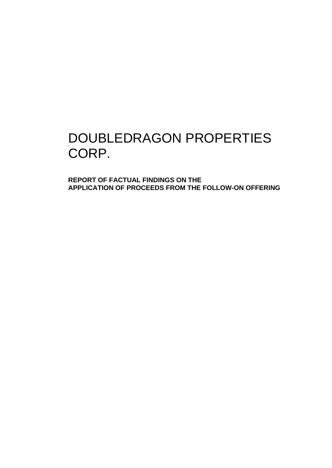# DOUBLEDRAGON PROPERTIES CORP.

**REPORT OF FACTUAL FINDINGS ON THE APPLICATION OF PROCEEDS FROM THE FOLLOW-ON OFFERING**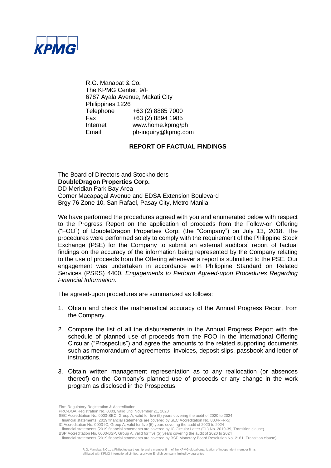

R.G. Manabat & Co. The KPMG Center, 9/F 6787 Ayala Avenue, Makati City Philippines 1226 Telephone +63 (2) 8885 7000 Fax +63 (2) 8894 1985 Internet www.home.kpmg/ph<br>Email bh-inquiry@kpmq.com ph-inquiry@kpmg.com

## **REPORT OF FACTUAL FINDINGS**

The Board of Directors and Stockholders **DoubleDragon Properties Corp.** DD Meridian Park Bay Area Corner Macapagal Avenue and EDSA Extension Boulevard Brgy 76 Zone 10, San Rafael, Pasay City, Metro Manila

We have performed the procedures agreed with you and enumerated below with respect to the Progress Report on the application of proceeds from the Follow-on Offering ("FOO") of DoubleDragon Properties Corp. (the "Company") on July 13, 2018. The procedures were performed solely to comply with the requirement of the Philippine Stock Exchange (PSE) for the Company to submit an external auditors' report of factual findings on the accuracy of the information being represented by the Company relating to the use of proceeds from the Offering whenever a report is submitted to the PSE. Our engagement was undertaken in accordance with Philippine Standard on Related Services (PSRS) 4400, *Engagements to Perform Agreed-upon Procedures Regarding Financial Information.*

The agreed-upon procedures are summarized as follows:

- 1. Obtain and check the mathematical accuracy of the Annual Progress Report from the Company.
- 2. Compare the list of all the disbursements in the Annual Progress Report with the schedule of planned use of proceeds from the FOO in the International Offering Circular ("Prospectus") and agree the amounts to the related supporting documents such as memorandum of agreements, invoices, deposit slips, passbook and letter of instructions.
- 3. Obtain written management representation as to any reallocation (or absences thereof) on the Company's planned use of proceeds or any change in the work program as disclosed in the Prospectus.

Firm Regulatory Registration & Accreditation:

PRC-BOA Registration No. 0003, valid until November 21, 2023

SEC Accreditation No. 0003-SEC, Group A, valid for five (5) years covering the audit of 2020 to 2024

financial statements (2019 financial statements are covered by SEC Accreditation No. 0004-FR-5)

IC Accreditation No. 0003-IC, Group A, valid for five (5) years covering the audit of 2020 to 2024

financial statements (2019 financial statements are covered by IC Circular Letter (CL) No. 2019-39, Transition clause) BSP Accreditation No. 0003-BSP, Group A, valid for five (5) years covering the audit of 2020 to 2024

financial statements (2019 financial statements are covered by BSP Monetary Board Resolution No. 2161, Transition clause)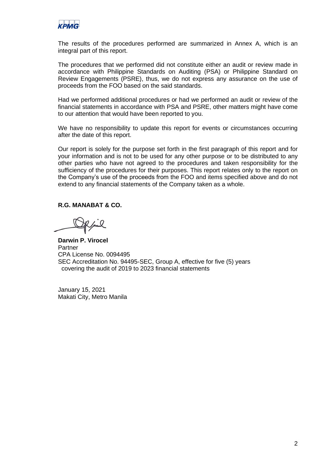

The results of the procedures performed are summarized in Annex A, which is an integral part of this report.

The procedures that we performed did not constitute either an audit or review made in accordance with Philippine Standards on Auditing (PSA) or Philippine Standard on Review Engagements (PSRE), thus, we do not express any assurance on the use of proceeds from the FOO based on the said standards.

Had we performed additional procedures or had we performed an audit or review of the financial statements in accordance with PSA and PSRE, other matters might have come to our attention that would have been reported to you.

We have no responsibility to update this report for events or circumstances occurring after the date of this report.

Our report is solely for the purpose set forth in the first paragraph of this report and for your information and is not to be used for any other purpose or to be distributed to any other parties who have not agreed to the procedures and taken responsibility for the sufficiency of the procedures for their purposes. This report relates only to the report on the Company's use of the proceeds from the FOO and items specified above and do not extend to any financial statements of the Company taken as a whole.

## **R.G. MANABAT & CO.**

**Darwin P. Virocel** Partner CPA License No. 0094495 SEC Accreditation No. 94495-SEC, Group A, effective for five (5) years covering the audit of 2019 to 2023 financial statements

January 15, 2021 Makati City, Metro Manila